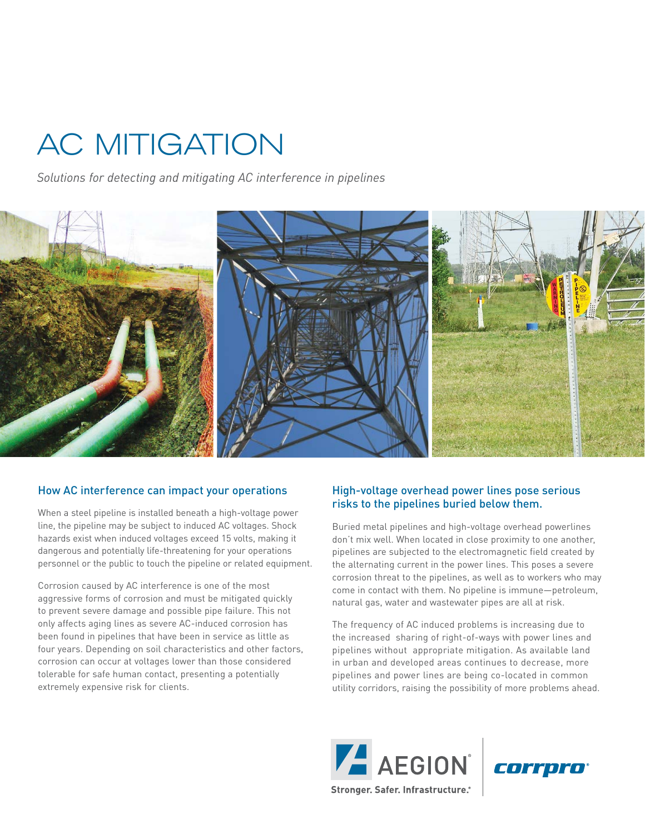# AC MITIGATION

*Solutions for detecting and mitigating AC interference in pipelines*



#### How AC interference can impact your operations

When a steel pipeline is installed beneath a high-voltage power line, the pipeline may be subject to induced AC voltages. Shock hazards exist when induced voltages exceed 15 volts, making it dangerous and potentially life-threatening for your operations personnel or the public to touch the pipeline or related equipment.

Corrosion caused by AC interference is one of the most aggressive forms of corrosion and must be mitigated quickly to prevent severe damage and possible pipe failure. This not only affects aging lines as severe AC-induced corrosion has been found in pipelines that have been in service as little as four years. Depending on soil characteristics and other factors, corrosion can occur at voltages lower than those considered tolerable for safe human contact, presenting a potentially extremely expensive risk for clients.

## High-voltage overhead power lines pose serious risks to the pipelines buried below them.

Buried metal pipelines and high-voltage overhead powerlines don't mix well. When located in close proximity to one another, pipelines are subjected to the electromagnetic field created by the alternating current in the power lines. This poses a severe corrosion threat to the pipelines, as well as to workers who may come in contact with them. No pipeline is immune—petroleum, natural gas, water and wastewater pipes are all at risk.

The frequency of AC induced problems is increasing due to the increased sharing of right-of-ways with power lines and pipelines without appropriate mitigation. As available land in urban and developed areas continues to decrease, more pipelines and power lines are being co-located in common utility corridors, raising the possibility of more problems ahead.